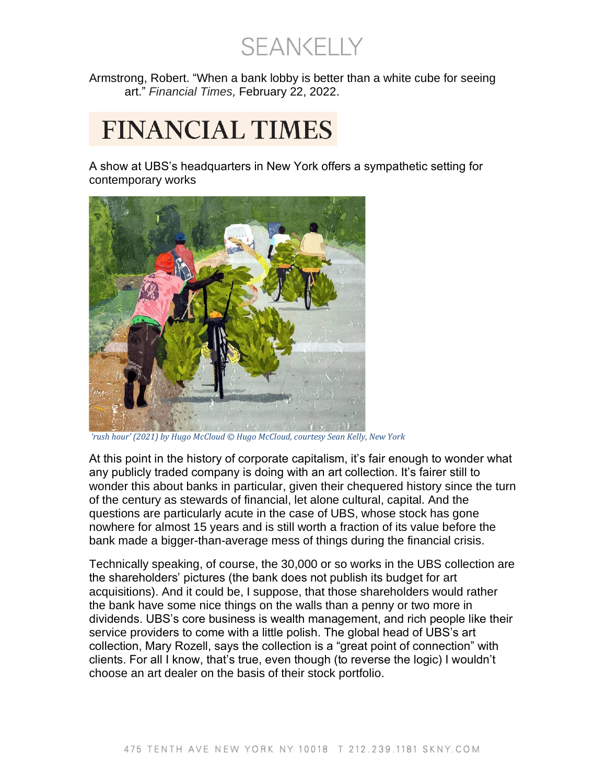**SEANKELLY** 

Armstrong, Robert. "When a bank lobby is better than a white cube for seeing art." *Financial Times,* February 22, 2022.

## **FINANCIAL TIMES**

A show at UBS's headquarters in New York offers a sympathetic setting for contemporary works



*'rush hour' (2021) by Hugo McCloud © Hugo McCloud, courtesy Sean Kelly, New York*

At this point in the history of corporate capitalism, it's fair enough to wonder what any publicly traded company is doing with an art collection. It's fairer still to wonder this about banks in particular, given their chequered history since the turn of the century as stewards of financial, let alone cultural, capital. And the questions are particularly acute in the case of UBS, whose stock has gone nowhere for almost 15 years and is still worth a fraction of its value before the bank made a bigger-than-average mess of things during the financial crisis.

Technically speaking, of course, the 30,000 or so works in the UBS collection are the shareholders' pictures (the bank does not publish its budget for art acquisitions). And it could be, I suppose, that those shareholders would rather the bank have some nice things on the walls than a penny or two more in dividends. UBS's core business is wealth management, and rich people like their service providers to come with a little polish. The global head of UBS's art collection, Mary Rozell, says the collection is a "great point of connection" with clients. For all I know, that's true, even though (to reverse the logic) I wouldn't choose an art dealer on the basis of their stock portfolio.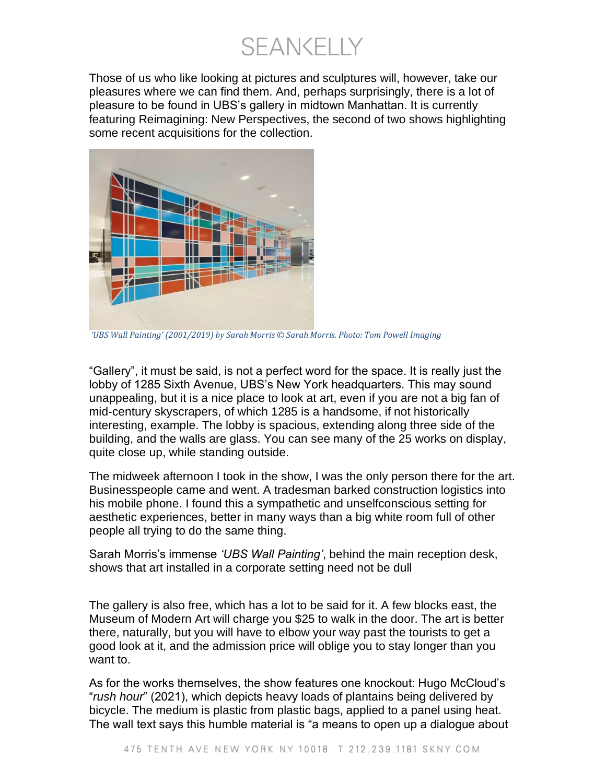SEANKELLY

Those of us who like looking at pictures and sculptures will, however, take our pleasures where we can find them. And, perhaps surprisingly, there is a lot of pleasure to be found in UBS's gallery in midtown Manhattan. It is currently featuring Reimagining: New Perspectives, the second of two shows highlighting some recent acquisitions for the collection.



*'UBS Wall Painting' (2001/2019) by Sarah Morris © Sarah Morris. Photo: Tom Powell Imaging*

"Gallery", it must be said, is not a perfect word for the space. It is really just the lobby of 1285 Sixth Avenue, UBS's New York headquarters. This may sound unappealing, but it is a nice place to look at art, even if you are not a big fan of mid-century skyscrapers, of which 1285 is a handsome, if not historically interesting, example. The lobby is spacious, extending along three side of the building, and the walls are glass. You can see many of the 25 works on display, quite close up, while standing outside.

The midweek afternoon I took in the show, I was the only person there for the art. Businesspeople came and went. A tradesman barked construction logistics into his mobile phone. I found this a sympathetic and unselfconscious setting for aesthetic experiences, better in many ways than a big white room full of other people all trying to do the same thing.

Sarah Morris's immense *'UBS Wall Painting'*, behind the main reception desk, shows that art installed in a corporate setting need not be dull

The gallery is also free, which has a lot to be said for it. A few blocks east, the Museum of Modern Art will charge you \$25 to walk in the door. The art is better there, naturally, but you will have to elbow your way past the tourists to get a good look at it, and the admission price will oblige you to stay longer than you want to.

As for the works themselves, the show features one knockout: Hugo McCloud's "*rush hour*" (2021), which depicts heavy loads of plantains being delivered by bicycle. The medium is plastic from plastic bags, applied to a panel using heat. The wall text says this humble material is "a means to open up a dialogue about